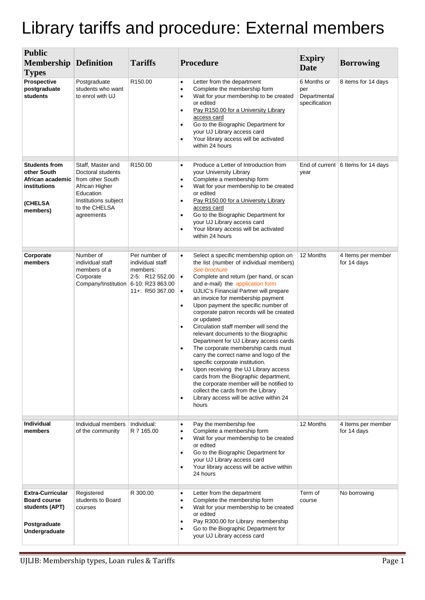## Library tariffs and procedure: External members

| <b>Public</b>                                                                                     |                                                                                                                                                  |                                                                                     |                                                                                                                                                                                                                                                                                                                                                                                                                                                                                                                                                                                                                                                                                                                                                                                                                                                                                                                                   |                                                     |                                    |
|---------------------------------------------------------------------------------------------------|--------------------------------------------------------------------------------------------------------------------------------------------------|-------------------------------------------------------------------------------------|-----------------------------------------------------------------------------------------------------------------------------------------------------------------------------------------------------------------------------------------------------------------------------------------------------------------------------------------------------------------------------------------------------------------------------------------------------------------------------------------------------------------------------------------------------------------------------------------------------------------------------------------------------------------------------------------------------------------------------------------------------------------------------------------------------------------------------------------------------------------------------------------------------------------------------------|-----------------------------------------------------|------------------------------------|
| <b>Membership</b>                                                                                 | Definition                                                                                                                                       | <b>Tariffs</b>                                                                      | Procedure                                                                                                                                                                                                                                                                                                                                                                                                                                                                                                                                                                                                                                                                                                                                                                                                                                                                                                                         | <b>Expiry</b><br><b>Date</b>                        | <b>Borrowing</b>                   |
| <b>Types</b><br><b>Prospective</b><br>postgraduate<br>students                                    | Postgraduate<br>students who want<br>to enrol with UJ                                                                                            | R <sub>150.00</sub>                                                                 | Letter from the department<br>$\bullet$<br>Complete the membership form<br>$\bullet$<br>Wait for your membership to be created<br>$\bullet$<br>or edited<br>Pay R150.00 for a University Library<br>$\bullet$<br>access card<br>Go to the Biographic Department for<br>$\bullet$<br>your UJ Library access card<br>Your library access will be activated<br>$\bullet$<br>within 24 hours                                                                                                                                                                                                                                                                                                                                                                                                                                                                                                                                          | 6 Months or<br>per<br>Departmental<br>specification | 8 items for 14 days                |
| <b>Students from</b><br>other South<br>African academic<br>institutions<br>(CHELSA<br>members)    | Staff, Master and<br>Doctoral students<br>from other South<br>African Higher<br>Education<br>Institutions subject<br>to the CHELSA<br>agreements | R <sub>150.00</sub>                                                                 | Produce a Letter of Introduction from<br>$\bullet$<br>your University Library<br>Complete a membership form<br>$\bullet$<br>Wait for your membership to be created<br>$\bullet$<br>or edited<br>Pay R150.00 for a University Library<br>$\bullet$<br>access card<br>Go to the Biographic Department for<br>$\bullet$<br>your UJ Library access card<br>Your library access will be activated<br>$\bullet$<br>within 24 hours                                                                                                                                                                                                                                                                                                                                                                                                                                                                                                      | year                                                | End of current 6 Items for 14 days |
| Corporate<br>members                                                                              | Number of<br>individual staff<br>members of a<br>Corporate<br>Company/Institution 6-10: R23 863.00                                               | Per number of<br>individual staff<br>members:<br>2-5: R12 552.00<br>11+: R50 367.00 | Select a specific membership option on<br>$\bullet$<br>the list (number of individual members)<br>See brochure<br>Complete and return (per hand, or scan<br>$\bullet$<br>and e-mail) the application form<br>UJLIC's Financial Partner will prepare<br>$\bullet$<br>an invoice for membership payment<br>Upon payment the specific number of<br>$\bullet$<br>corporate patron records will be created<br>or updated<br>Circulation staff member will send the<br>$\bullet$<br>relevant documents to the Biographic<br>Department for UJ Library access cards<br>The corporate membership cards must<br>carry the correct name and logo of the<br>specific corporate institution.<br>Upon receiving the UJ Library access<br>$\bullet$<br>cards from the Biographic department,<br>the corporate member will be notified to<br>collect the cards from the Library<br>Library access will be active within 24<br>$\bullet$<br>hours | 12 Months                                           | 4 Items per member<br>for 14 days  |
| Individual<br>members                                                                             | Individual members<br>of the community                                                                                                           | Individual:<br>R 7 165.00                                                           | Pay the membership fee<br>$\bullet$<br>Complete a membership form<br>$\bullet$<br>Wait for your membership to be created<br>$\bullet$<br>or edited<br>Go to the Biographic Department for<br>$\bullet$<br>your UJ Library access card<br>Your library access will be active within<br>$\bullet$<br>24 hours                                                                                                                                                                                                                                                                                                                                                                                                                                                                                                                                                                                                                       | 12 Months                                           | 4 Items per member<br>for 14 days  |
| <b>Extra-Curricular</b><br><b>Board course</b><br>students (APT)<br>Postgraduate<br>Undergraduate | Registered<br>students to Board<br>courses                                                                                                       | R 300.00                                                                            | Letter from the department<br>$\bullet$<br>Complete the membership form<br>$\bullet$<br>Wait for your membership to be created<br>$\bullet$<br>or edited<br>Pay R300.00 for Library membership<br>$\bullet$<br>Go to the Biographic Department for<br>$\bullet$<br>your UJ Library access card                                                                                                                                                                                                                                                                                                                                                                                                                                                                                                                                                                                                                                    | Term of<br>course                                   | No borrowing                       |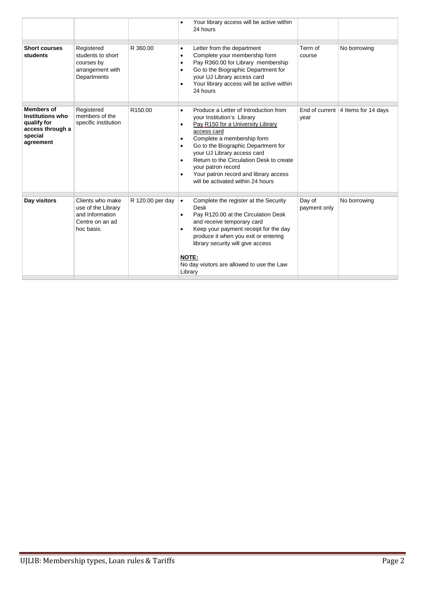|                                                                                                         |                                                                                            |                     |                                                  | Your library access will be active within<br>24 hours                                                                                                                                                                                                                                                                                                                       |                        |                                       |
|---------------------------------------------------------------------------------------------------------|--------------------------------------------------------------------------------------------|---------------------|--------------------------------------------------|-----------------------------------------------------------------------------------------------------------------------------------------------------------------------------------------------------------------------------------------------------------------------------------------------------------------------------------------------------------------------------|------------------------|---------------------------------------|
| <b>Short courses</b><br>students                                                                        | Registered<br>students to short<br>courses by<br>arrangement with<br>Departments           | R 360.00            | ٠<br>$\bullet$                                   | Letter from the department<br>Complete your membership form<br>Pay R360.00 for Library membership<br>Go to the Biographic Department for<br>your UJ Library access card<br>Your library access will be active within<br>24 hours                                                                                                                                            | Term of<br>course      | No borrowing                          |
| <b>Members of</b><br><b>Institutions who</b><br>qualify for<br>access through a<br>special<br>agreement | Registered<br>members of the<br>specific institution                                       | R <sub>150.00</sub> | $\bullet$<br>$\bullet$<br>$\bullet$<br>$\bullet$ | Produce a Letter of Introduction from<br>your Institution's Library<br>Pay R150 for a University Library<br>access card<br>Complete a membership form<br>Go to the Biographic Department for<br>your UJ Library access card<br>Return to the Circulation Desk to create<br>your patron record<br>Your patron record and library access<br>will be activated within 24 hours | year                   | End of current $ 4$ Items for 14 days |
| Day visitors                                                                                            | Clients who make<br>use of the Library<br>and Information<br>Centre on an ad<br>hoc basis. | R 120.00 per day    | $\bullet$<br>٠<br>$\bullet$<br>NOTE:<br>Library  | Complete the register at the Security<br>Desk<br>Pay R120.00 at the Circulation Desk<br>and receive temporary card<br>Keep your payment receipt for the day<br>produce it when you exit or entering<br>library security will give access<br>No day visitors are allowed to use the Law                                                                                      | Day of<br>payment only | No borrowing                          |